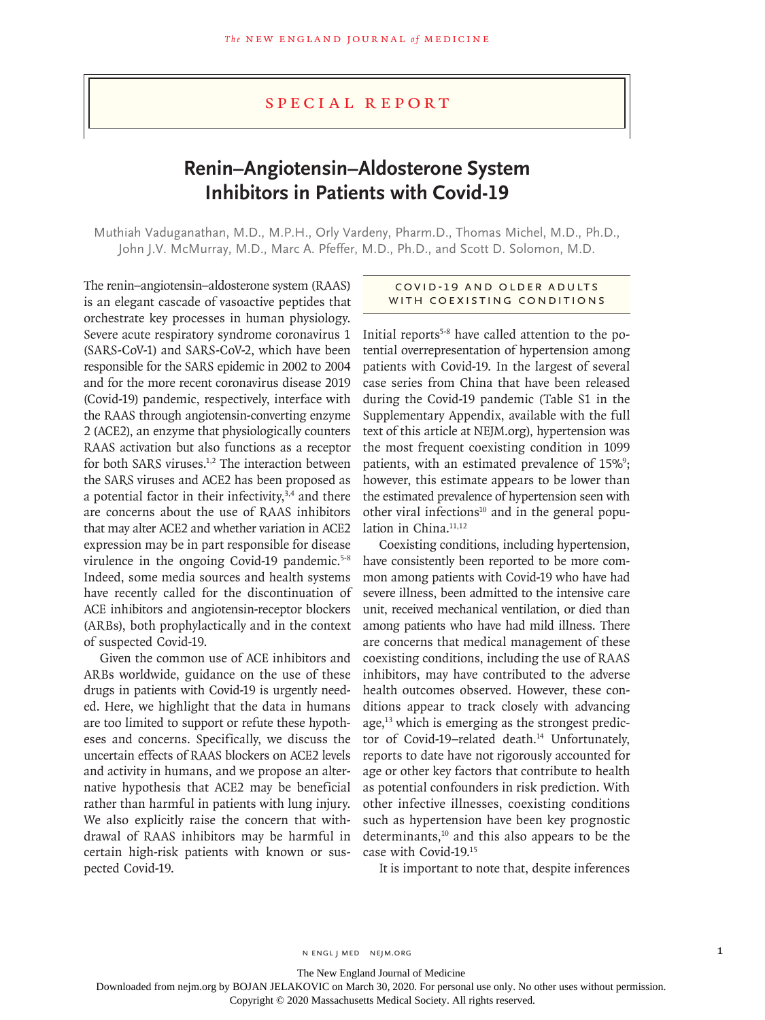# Special Report

# **Renin–Angiotensin–Aldosterone System Inhibitors in Patients with Covid-19**

Muthiah Vaduganathan, M.D., M.P.H., Orly Vardeny, Pharm.D., Thomas Michel, M.D., Ph.D., John J.V. McMurray, M.D., Marc A. Pfeffer, M.D., Ph.D., and Scott D. Solomon, M.D.

The renin–angiotensin–aldosterone system (RAAS) is an elegant cascade of vasoactive peptides that orchestrate key processes in human physiology. Severe acute respiratory syndrome coronavirus 1 (SARS-CoV-1) and SARS-CoV-2, which have been responsible for the SARS epidemic in 2002 to 2004 and for the more recent coronavirus disease 2019 (Covid-19) pandemic, respectively, interface with the RAAS through angiotensin-converting enzyme 2 (ACE2), an enzyme that physiologically counters RAAS activation but also functions as a receptor for both SARS viruses.<sup>1,2</sup> The interaction between the SARS viruses and ACE2 has been proposed as a potential factor in their infectivity,<sup>3,4</sup> and there are concerns about the use of RAAS inhibitors that may alter ACE2 and whether variation in ACE2 expression may be in part responsible for disease virulence in the ongoing Covid-19 pandemic.<sup>5-8</sup> Indeed, some media sources and health systems have recently called for the discontinuation of ACE inhibitors and angiotensin-receptor blockers (ARBs), both prophylactically and in the context of suspected Covid-19.

Given the common use of ACE inhibitors and ARBs worldwide, guidance on the use of these drugs in patients with Covid-19 is urgently needed. Here, we highlight that the data in humans are too limited to support or refute these hypotheses and concerns. Specifically, we discuss the uncertain effects of RAAS blockers on ACE2 levels and activity in humans, and we propose an alternative hypothesis that ACE2 may be beneficial rather than harmful in patients with lung injury. We also explicitly raise the concern that withdrawal of RAAS inhibitors may be harmful in certain high-risk patients with known or suspected Covid-19.

## Covid -19 and Older Adults with Coexisting Conditions

Initial reports<sup>5-8</sup> have called attention to the potential overrepresentation of hypertension among patients with Covid-19. In the largest of several case series from China that have been released during the Covid-19 pandemic (Table S1 in the Supplementary Appendix, available with the full text of this article at NEJM.org), hypertension was the most frequent coexisting condition in 1099 patients, with an estimated prevalence of 15%<sup>9</sup>; however, this estimate appears to be lower than the estimated prevalence of hypertension seen with other viral infections<sup>10</sup> and in the general population in China.<sup>11,12</sup>

Coexisting conditions, including hypertension, have consistently been reported to be more common among patients with Covid-19 who have had severe illness, been admitted to the intensive care unit, received mechanical ventilation, or died than among patients who have had mild illness. There are concerns that medical management of these coexisting conditions, including the use of RAAS inhibitors, may have contributed to the adverse health outcomes observed. However, these conditions appear to track closely with advancing age, $13$  which is emerging as the strongest predictor of Covid-19-related death.<sup>14</sup> Unfortunately, reports to date have not rigorously accounted for age or other key factors that contribute to health as potential confounders in risk prediction. With other infective illnesses, coexisting conditions such as hypertension have been key prognostic determinants,<sup>10</sup> and this also appears to be the case with Covid-19.15

It is important to note that, despite inferences

The New England Journal of Medicine

Downloaded from nejm.org by BOJAN JELAKOVIC on March 30, 2020. For personal use only. No other uses without permission.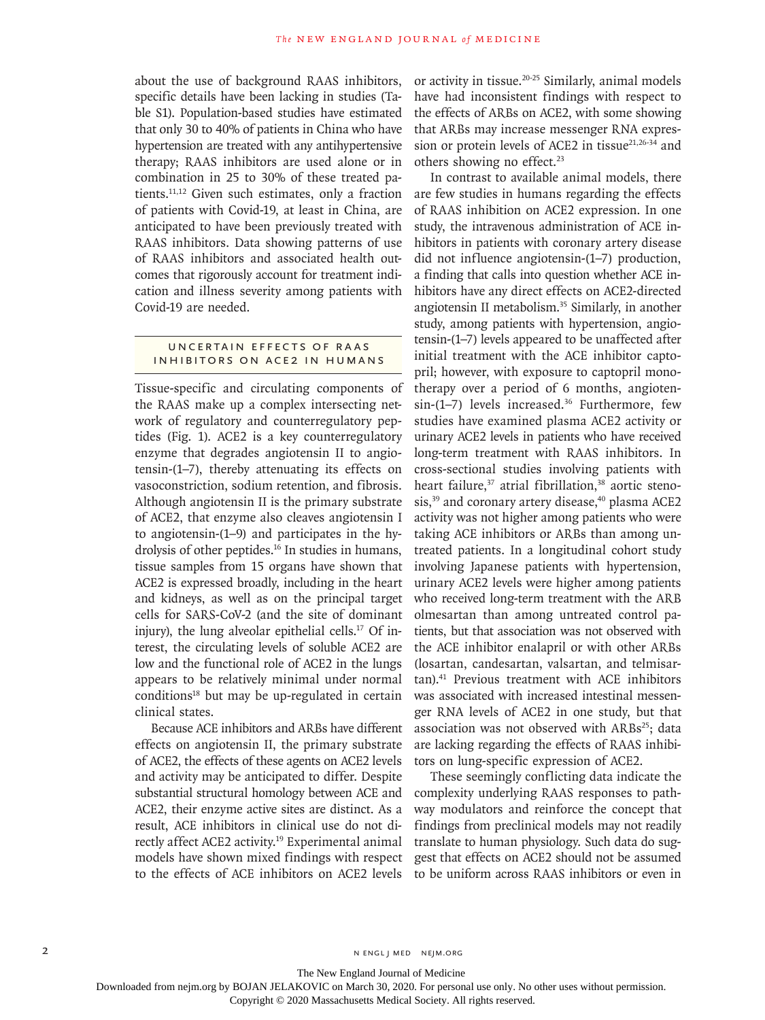about the use of background RAAS inhibitors, specific details have been lacking in studies (Table S1). Population-based studies have estimated that only 30 to 40% of patients in China who have hypertension are treated with any antihypertensive therapy; RAAS inhibitors are used alone or in combination in 25 to 30% of these treated patients.11,12 Given such estimates, only a fraction of patients with Covid-19, at least in China, are anticipated to have been previously treated with RAAS inhibitors. Data showing patterns of use of RAAS inhibitors and associated health outcomes that rigorously account for treatment indication and illness severity among patients with Covid-19 are needed.

### UNCERTAIN EFFECTS OF RAAS Inhibitors on ACE2 in Humans

Tissue-specific and circulating components of the RAAS make up a complex intersecting network of regulatory and counterregulatory peptides (Fig. 1). ACE2 is a key counterregulatory enzyme that degrades angiotensin II to angiotensin-(1–7), thereby attenuating its effects on vasoconstriction, sodium retention, and fibrosis. Although angiotensin II is the primary substrate of ACE2, that enzyme also cleaves angiotensin I to angiotensin-(1–9) and participates in the hydrolysis of other peptides.<sup>16</sup> In studies in humans, tissue samples from 15 organs have shown that ACE2 is expressed broadly, including in the heart and kidneys, as well as on the principal target cells for SARS-CoV-2 (and the site of dominant injury), the lung alveolar epithelial cells. $17$  Of interest, the circulating levels of soluble ACE2 are low and the functional role of ACE2 in the lungs appears to be relatively minimal under normal  $conditions<sup>18</sup>$  but may be up-regulated in certain clinical states.

Because ACE inhibitors and ARBs have different effects on angiotensin II, the primary substrate of ACE2, the effects of these agents on ACE2 levels and activity may be anticipated to differ. Despite substantial structural homology between ACE and ACE2, their enzyme active sites are distinct. As a result, ACE inhibitors in clinical use do not directly affect ACE2 activity.<sup>19</sup> Experimental animal models have shown mixed findings with respect to the effects of ACE inhibitors on ACE2 levels

or activity in tissue.20-25 Similarly, animal models have had inconsistent findings with respect to the effects of ARBs on ACE2, with some showing that ARBs may increase messenger RNA expression or protein levels of ACE2 in tissue $21,26-34$  and others showing no effect.<sup>23</sup>

In contrast to available animal models, there are few studies in humans regarding the effects of RAAS inhibition on ACE2 expression. In one study, the intravenous administration of ACE inhibitors in patients with coronary artery disease did not influence angiotensin-(1–7) production, a finding that calls into question whether ACE inhibitors have any direct effects on ACE2-directed angiotensin II metabolism.35 Similarly, in another study, among patients with hypertension, angiotensin-(1–7) levels appeared to be unaffected after initial treatment with the ACE inhibitor captopril; however, with exposure to captopril monotherapy over a period of 6 months, angioten $sin-(1-7)$  levels increased.<sup>36</sup> Furthermore, few studies have examined plasma ACE2 activity or urinary ACE2 levels in patients who have received long-term treatment with RAAS inhibitors. In cross-sectional studies involving patients with heart failure,<sup>37</sup> atrial fibrillation,<sup>38</sup> aortic stenosis,<sup>39</sup> and coronary artery disease,<sup>40</sup> plasma ACE2 activity was not higher among patients who were taking ACE inhibitors or ARBs than among untreated patients. In a longitudinal cohort study involving Japanese patients with hypertension, urinary ACE2 levels were higher among patients who received long-term treatment with the ARB olmesartan than among untreated control patients, but that association was not observed with the ACE inhibitor enalapril or with other ARBs (losartan, candesartan, valsartan, and telmisartan).41 Previous treatment with ACE inhibitors was associated with increased intestinal messenger RNA levels of ACE2 in one study, but that association was not observed with  $ARBs^{25}$ ; data are lacking regarding the effects of RAAS inhibitors on lung-specific expression of ACE2.

These seemingly conflicting data indicate the complexity underlying RAAS responses to pathway modulators and reinforce the concept that findings from preclinical models may not readily translate to human physiology. Such data do suggest that effects on ACE2 should not be assumed to be uniform across RAAS inhibitors or even in

2 N ENGL J MED NEJM.ORG

The New England Journal of Medicine

Downloaded from nejm.org by BOJAN JELAKOVIC on March 30, 2020. For personal use only. No other uses without permission.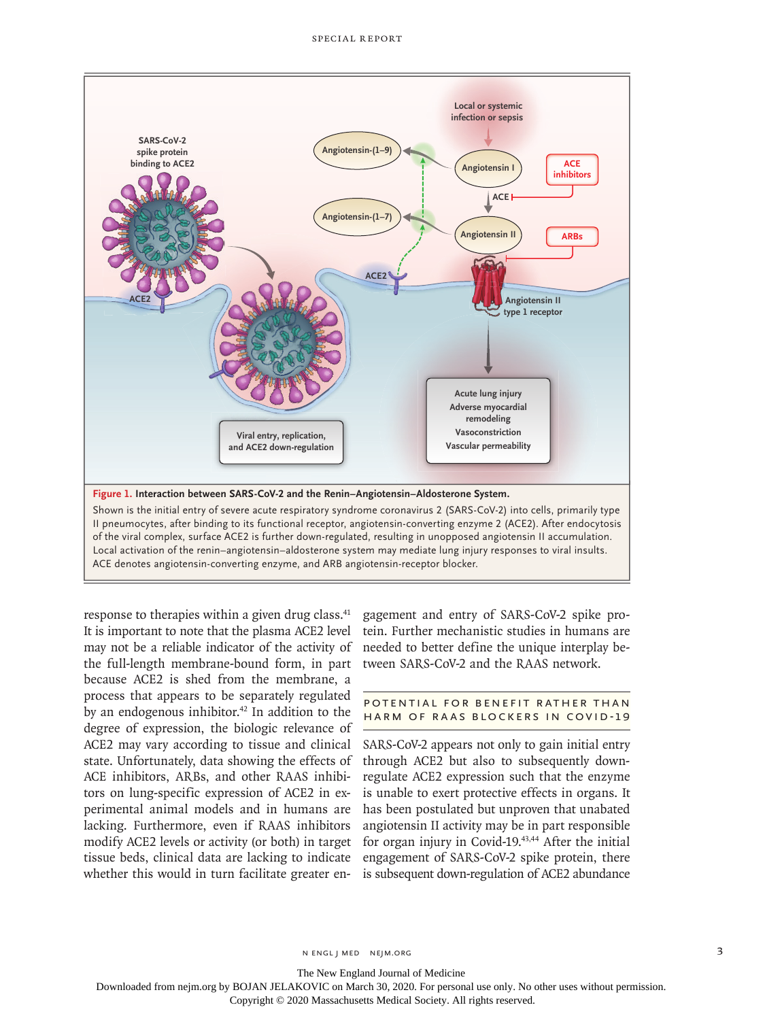

response to therapies within a given drug class.<sup>41</sup> It is important to note that the plasma ACE2 level may not be a reliable indicator of the activity of the full-length membrane-bound form, in part because ACE2 is shed from the membrane, a process that appears to be separately regulated by an endogenous inhibitor. $42$  In addition to the degree of expression, the biologic relevance of ACE2 may vary according to tissue and clinical state. Unfortunately, data showing the effects of ACE inhibitors, ARBs, and other RAAS inhibitors on lung-specific expression of ACE2 in experimental animal models and in humans are lacking. Furthermore, even if RAAS inhibitors modify ACE2 levels or activity (or both) in target tissue beds, clinical data are lacking to indicate whether this would in turn facilitate greater engagement and entry of SARS-CoV-2 spike protein. Further mechanistic studies in humans are needed to better define the unique interplay between SARS-CoV-2 and the RAAS network.

#### POTENTIAL FOR BENEFIT RATHER THAN Harm of RAAS Blockers in Covid-19

SARS-CoV-2 appears not only to gain initial entry through ACE2 but also to subsequently downregulate ACE2 expression such that the enzyme is unable to exert protective effects in organs. It has been postulated but unproven that unabated angiotensin II activity may be in part responsible for organ injury in Covid-19.<sup>43,44</sup> After the initial engagement of SARS-CoV-2 spike protein, there is subsequent down-regulation of ACE2 abundance

The New England Journal of Medicine

Downloaded from nejm.org by BOJAN JELAKOVIC on March 30, 2020. For personal use only. No other uses without permission.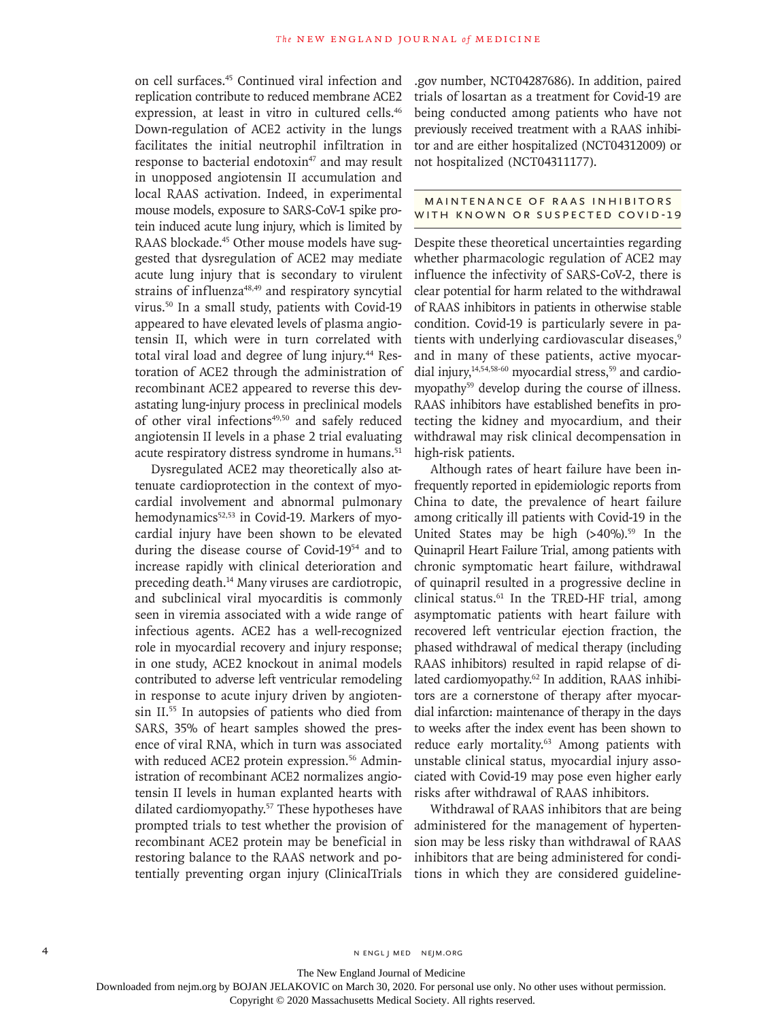on cell surfaces.45 Continued viral infection and replication contribute to reduced membrane ACE2 expression, at least in vitro in cultured cells.<sup>46</sup> Down-regulation of ACE2 activity in the lungs facilitates the initial neutrophil infiltration in response to bacterial endotoxin<sup>47</sup> and may result in unopposed angiotensin II accumulation and local RAAS activation. Indeed, in experimental mouse models, exposure to SARS-CoV-1 spike protein induced acute lung injury, which is limited by RAAS blockade.<sup>45</sup> Other mouse models have suggested that dysregulation of ACE2 may mediate acute lung injury that is secondary to virulent strains of influenza<sup>48,49</sup> and respiratory syncytial virus.50 In a small study, patients with Covid-19 appeared to have elevated levels of plasma angiotensin II, which were in turn correlated with total viral load and degree of lung injury.<sup>44</sup> Restoration of ACE2 through the administration of recombinant ACE2 appeared to reverse this devastating lung-injury process in preclinical models of other viral infections<sup>49,50</sup> and safely reduced angiotensin II levels in a phase 2 trial evaluating acute respiratory distress syndrome in humans.<sup>51</sup>

Dysregulated ACE2 may theoretically also attenuate cardioprotection in the context of myocardial involvement and abnormal pulmonary hemodynamics<sup>52,53</sup> in Covid-19. Markers of myocardial injury have been shown to be elevated during the disease course of Covid-1954 and to increase rapidly with clinical deterioration and preceding death.<sup>14</sup> Many viruses are cardiotropic, and subclinical viral myocarditis is commonly seen in viremia associated with a wide range of infectious agents. ACE2 has a well-recognized role in myocardial recovery and injury response; in one study, ACE2 knockout in animal models contributed to adverse left ventricular remodeling in response to acute injury driven by angiotensin II.55 In autopsies of patients who died from SARS, 35% of heart samples showed the presence of viral RNA, which in turn was associated with reduced ACE2 protein expression.<sup>56</sup> Administration of recombinant ACE2 normalizes angiotensin II levels in human explanted hearts with dilated cardiomyopathy.57 These hypotheses have prompted trials to test whether the provision of recombinant ACE2 protein may be beneficial in restoring balance to the RAAS network and potentially preventing organ injury (ClinicalTrials

.gov number, NCT04287686). In addition, paired trials of losartan as a treatment for Covid-19 are being conducted among patients who have not previously received treatment with a RAAS inhibitor and are either hospitalized (NCT04312009) or not hospitalized (NCT04311177).

#### MAINTENANCE OF RAAS INHIBITORS WITH KNOWN OR SUSPECTED COVID-19

Despite these theoretical uncertainties regarding whether pharmacologic regulation of ACE2 may influence the infectivity of SARS-CoV-2, there is clear potential for harm related to the withdrawal of RAAS inhibitors in patients in otherwise stable condition. Covid-19 is particularly severe in patients with underlying cardiovascular diseases,<sup>9</sup> and in many of these patients, active myocardial injury, $14,54,58-60$  myocardial stress, $59$  and cardiomyopathy<sup>59</sup> develop during the course of illness. RAAS inhibitors have established benefits in protecting the kidney and myocardium, and their withdrawal may risk clinical decompensation in high-risk patients.

Although rates of heart failure have been infrequently reported in epidemiologic reports from China to date, the prevalence of heart failure among critically ill patients with Covid-19 in the United States may be high  $(>40\%)$ .<sup>59</sup> In the Quinapril Heart Failure Trial, among patients with chronic symptomatic heart failure, withdrawal of quinapril resulted in a progressive decline in clinical status.<sup>61</sup> In the TRED-HF trial, among asymptomatic patients with heart failure with recovered left ventricular ejection fraction, the phased withdrawal of medical therapy (including RAAS inhibitors) resulted in rapid relapse of dilated cardiomyopathy.<sup>62</sup> In addition, RAAS inhibitors are a cornerstone of therapy after myocardial infarction: maintenance of therapy in the days to weeks after the index event has been shown to reduce early mortality.<sup>63</sup> Among patients with unstable clinical status, myocardial injury associated with Covid-19 may pose even higher early risks after withdrawal of RAAS inhibitors.

Withdrawal of RAAS inhibitors that are being administered for the management of hypertension may be less risky than withdrawal of RAAS inhibitors that are being administered for conditions in which they are considered guideline-

The New England Journal of Medicine

Downloaded from nejm.org by BOJAN JELAKOVIC on March 30, 2020. For personal use only. No other uses without permission.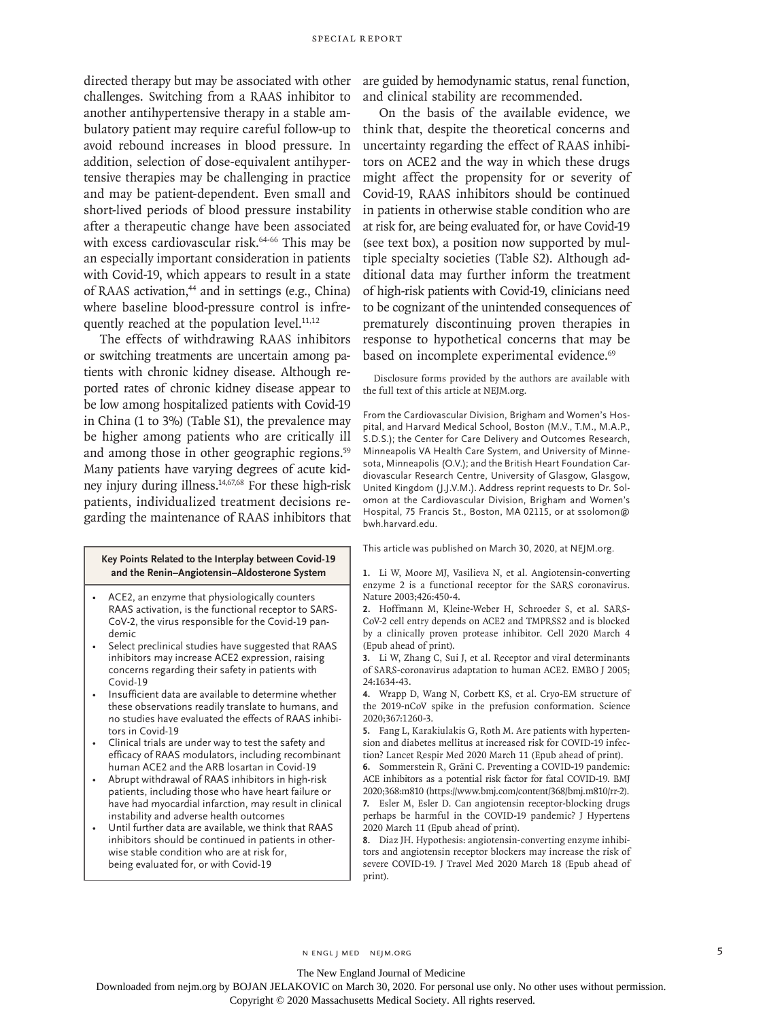challenges. Switching from a RAAS inhibitor to another antihypertensive therapy in a stable ambulatory patient may require careful follow-up to avoid rebound increases in blood pressure. In addition, selection of dose-equivalent antihypertensive therapies may be challenging in practice and may be patient-dependent. Even small and short-lived periods of blood pressure instability after a therapeutic change have been associated with excess cardiovascular risk.<sup>64-66</sup> This may be an especially important consideration in patients with Covid-19, which appears to result in a state of RAAS activation,<sup>44</sup> and in settings (e.g., China) where baseline blood-pressure control is infrequently reached at the population level. $11,12$ 

The effects of withdrawing RAAS inhibitors or switching treatments are uncertain among patients with chronic kidney disease. Although reported rates of chronic kidney disease appear to be low among hospitalized patients with Covid-19 in China (1 to 3%) (Table S1), the prevalence may be higher among patients who are critically ill and among those in other geographic regions.<sup>59</sup> Many patients have varying degrees of acute kidney injury during illness.14,67,68 For these high-risk patients, individualized treatment decisions regarding the maintenance of RAAS inhibitors that

#### **Key Points Related to the Interplay between Covid-19 and the Renin–Angiotensin–Aldosterone System**

- ACE2, an enzyme that physiologically counters RAAS activation, is the functional receptor to SARS-CoV-2, the virus responsible for the Covid-19 pandemic
- Select preclinical studies have suggested that RAAS inhibitors may increase ACE2 expression, raising concerns regarding their safety in patients with Covid-19
- Insufficient data are available to determine whether these observations readily translate to humans, and no studies have evaluated the effects of RAAS inhibitors in Covid-19
- Clinical trials are under way to test the safety and efficacy of RAAS modulators, including recombinant human ACE2 and the ARB losartan in Covid-19
- Abrupt withdrawal of RAAS inhibitors in high-risk patients, including those who have heart failure or have had myocardial infarction, may result in clinical instability and adverse health outcomes
- Until further data are available, we think that RAAS inhibitors should be continued in patients in otherwise stable condition who are at risk for, being evaluated for, or with Covid-19

directed therapy but may be associated with other are guided by hemodynamic status, renal function, and clinical stability are recommended.

> On the basis of the available evidence, we think that, despite the theoretical concerns and uncertainty regarding the effect of RAAS inhibitors on ACE2 and the way in which these drugs might affect the propensity for or severity of Covid-19, RAAS inhibitors should be continued in patients in otherwise stable condition who are at risk for, are being evaluated for, or have Covid-19 (see text box), a position now supported by multiple specialty societies (Table S2). Although additional data may further inform the treatment of high-risk patients with Covid-19, clinicians need to be cognizant of the unintended consequences of prematurely discontinuing proven therapies in response to hypothetical concerns that may be based on incomplete experimental evidence.<sup>69</sup>

> Disclosure forms provided by the authors are available with the full text of this article at NEJM.org.

> From the Cardiovascular Division, Brigham and Women's Hospital, and Harvard Medical School, Boston (M.V., T.M., M.A.P., S.D.S.); the Center for Care Delivery and Outcomes Research, Minneapolis VA Health Care System, and University of Minnesota, Minneapolis (O.V.); and the British Heart Foundation Cardiovascular Research Centre, University of Glasgow, Glasgow, United Kingdom (J.J.V.M.). Address reprint requests to Dr. Solomon at the Cardiovascular Division, Brigham and Women's Hospital, 75 Francis St., Boston, MA 02115, or at ssolomon@ bwh.harvard.edu.

This article was published on March 30, 2020, at NEJM.org.

**1.** Li W, Moore MJ, Vasilieva N, et al. Angiotensin-converting enzyme 2 is a functional receptor for the SARS coronavirus. Nature 2003;426:450-4.

- **2.** Hoffmann M, Kleine-Weber H, Schroeder S, et al. SARS-CoV-2 cell entry depends on ACE2 and TMPRSS2 and is blocked by a clinically proven protease inhibitor. Cell 2020 March 4 (Epub ahead of print).
- **3.** Li W, Zhang C, Sui J, et al. Receptor and viral determinants of SARS-coronavirus adaptation to human ACE2. EMBO J 2005; 24:1634-43.

**4.** Wrapp D, Wang N, Corbett KS, et al. Cryo-EM structure of the 2019-nCoV spike in the prefusion conformation. Science 2020;367:1260-3.

**5.** Fang L, Karakiulakis G, Roth M. Are patients with hypertension and diabetes mellitus at increased risk for COVID-19 infection? Lancet Respir Med 2020 March 11 (Epub ahead of print).

**6.** Sommerstein R, Gräni C. Preventing a COVID-19 pandemic: ACE inhibitors as a potential risk factor for fatal COVID-19. BMJ 2020;368:m810 (https://www.bmj.com/content/368/bmj.m810/rr-2).

**7.** Esler M, Esler D. Can angiotensin receptor-blocking drugs perhaps be harmful in the COVID-19 pandemic? J Hypertens 2020 March 11 (Epub ahead of print).

**8.** Diaz JH. Hypothesis: angiotensin-converting enzyme inhibitors and angiotensin receptor blockers may increase the risk of severe COVID-19. J Travel Med 2020 March 18 (Epub ahead of print).

#### The New England Journal of Medicine

Downloaded from nejm.org by BOJAN JELAKOVIC on March 30, 2020. For personal use only. No other uses without permission.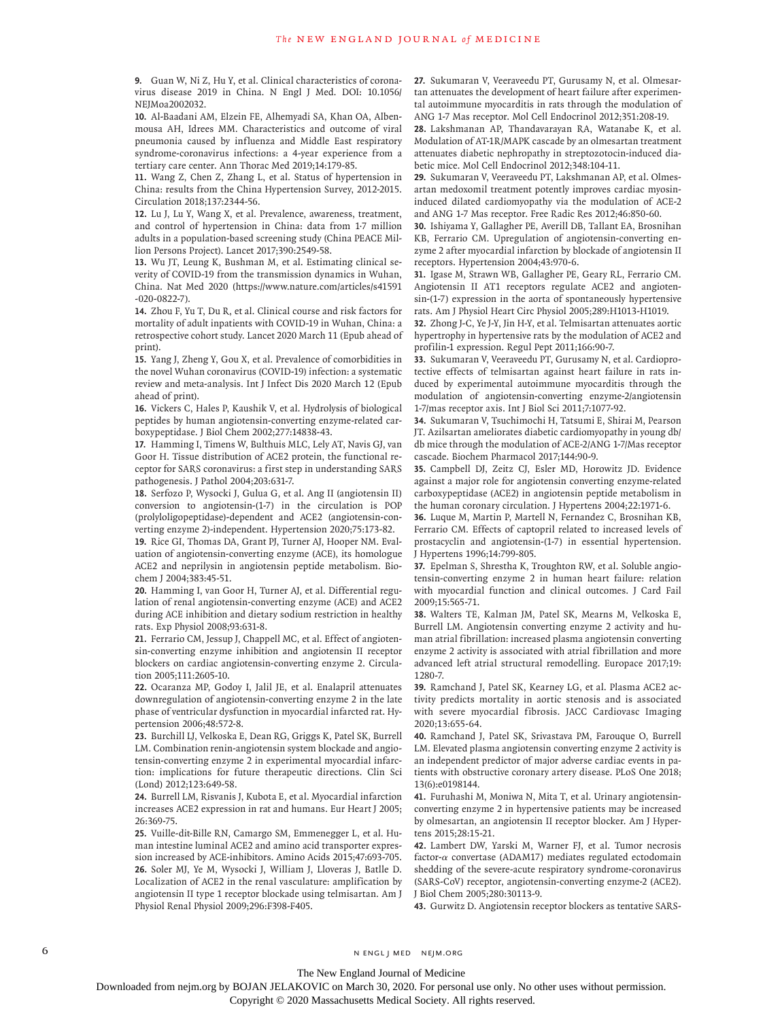**9.** Guan W, Ni Z, Hu Y, et al. Clinical characteristics of coronavirus disease 2019 in China. N Engl J Med. DOI: 10.1056/ NEJMoa2002032.

**10.** Al-Baadani AM, Elzein FE, Alhemyadi SA, Khan OA, Albenmousa AH, Idrees MM. Characteristics and outcome of viral pneumonia caused by influenza and Middle East respiratory syndrome-coronavirus infections: a 4-year experience from a tertiary care center. Ann Thorac Med 2019;14:179-85.

**11.** Wang Z, Chen Z, Zhang L, et al. Status of hypertension in China: results from the China Hypertension Survey, 2012-2015. Circulation 2018;137:2344-56.

**12.** Lu J, Lu Y, Wang X, et al. Prevalence, awareness, treatment, and control of hypertension in China: data from 1·7 million adults in a population-based screening study (China PEACE Million Persons Project). Lancet 2017;390:2549-58.

**13.** Wu JT, Leung K, Bushman M, et al. Estimating clinical severity of COVID-19 from the transmission dynamics in Wuhan, China. Nat Med 2020 (https://www.nature.com/articles/s41591 -020-0822-7).

**14.** Zhou F, Yu T, Du R, et al. Clinical course and risk factors for mortality of adult inpatients with COVID-19 in Wuhan, China: a retrospective cohort study. Lancet 2020 March 11 (Epub ahead of print).

**15.** Yang J, Zheng Y, Gou X, et al. Prevalence of comorbidities in the novel Wuhan coronavirus (COVID-19) infection: a systematic review and meta-analysis. Int J Infect Dis 2020 March 12 (Epub ahead of print).

**16.** Vickers C, Hales P, Kaushik V, et al. Hydrolysis of biological peptides by human angiotensin-converting enzyme-related carboxypeptidase. J Biol Chem 2002;277:14838-43.

**17.** Hamming I, Timens W, Bulthuis MLC, Lely AT, Navis GJ, van Goor H. Tissue distribution of ACE2 protein, the functional receptor for SARS coronavirus: a first step in understanding SARS pathogenesis. J Pathol 2004;203:631-7.

**18.** Serfozo P, Wysocki J, Gulua G, et al. Ang II (angiotensin II) conversion to angiotensin-(1-7) in the circulation is POP (prolyloligopeptidase)-dependent and ACE2 (angiotensin-converting enzyme 2)-independent. Hypertension 2020;75:173-82. **19.** Rice GI, Thomas DA, Grant PJ, Turner AJ, Hooper NM. Evaluation of angiotensin-converting enzyme (ACE), its homologue

ACE2 and neprilysin in angiotensin peptide metabolism. Biochem J 2004;383:45-51.

**20.** Hamming I, van Goor H, Turner AJ, et al. Differential regulation of renal angiotensin-converting enzyme (ACE) and ACE2 during ACE inhibition and dietary sodium restriction in healthy rats. Exp Physiol 2008;93:631-8.

**21.** Ferrario CM, Jessup J, Chappell MC, et al. Effect of angiotensin-converting enzyme inhibition and angiotensin II receptor blockers on cardiac angiotensin-converting enzyme 2. Circulation 2005;111:2605-10.

**22.** Ocaranza MP, Godoy I, Jalil JE, et al. Enalapril attenuates downregulation of angiotensin-converting enzyme 2 in the late phase of ventricular dysfunction in myocardial infarcted rat. Hypertension 2006;48:572-8.

**23.** Burchill LJ, Velkoska E, Dean RG, Griggs K, Patel SK, Burrell LM. Combination renin-angiotensin system blockade and angiotensin-converting enzyme 2 in experimental myocardial infarction: implications for future therapeutic directions. Clin Sci (Lond) 2012;123:649-58.

**24.** Burrell LM, Risvanis J, Kubota E, et al. Myocardial infarction increases ACE2 expression in rat and humans. Eur Heart J 2005; 26:369-75.

**25.** Vuille-dit-Bille RN, Camargo SM, Emmenegger L, et al. Human intestine luminal ACE2 and amino acid transporter expression increased by ACE-inhibitors. Amino Acids 2015;47:693-705. **26.** Soler MJ, Ye M, Wysocki J, William J, Lloveras J, Batlle D. Localization of ACE2 in the renal vasculature: amplification by angiotensin II type 1 receptor blockade using telmisartan. Am J Physiol Renal Physiol 2009;296:F398-F405.

**27.** Sukumaran V, Veeraveedu PT, Gurusamy N, et al. Olmesartan attenuates the development of heart failure after experimental autoimmune myocarditis in rats through the modulation of ANG 1-7 Mas receptor. Mol Cell Endocrinol 2012;351:208-19.

**28.** Lakshmanan AP, Thandavarayan RA, Watanabe K, et al. Modulation of AT-1R/MAPK cascade by an olmesartan treatment attenuates diabetic nephropathy in streptozotocin-induced diabetic mice. Mol Cell Endocrinol 2012;348:104-11.

**29.** Sukumaran V, Veeraveedu PT, Lakshmanan AP, et al. Olmesartan medoxomil treatment potently improves cardiac myosininduced dilated cardiomyopathy via the modulation of ACE-2 and ANG 1-7 Mas receptor. Free Radic Res 2012;46:850-60.

**30.** Ishiyama Y, Gallagher PE, Averill DB, Tallant EA, Brosnihan KB, Ferrario CM. Upregulation of angiotensin-converting enzyme 2 after myocardial infarction by blockade of angiotensin II receptors. Hypertension 2004;43:970-6.

**31.** Igase M, Strawn WB, Gallagher PE, Geary RL, Ferrario CM. Angiotensin II AT1 receptors regulate ACE2 and angiotensin-(1-7) expression in the aorta of spontaneously hypertensive rats. Am J Physiol Heart Circ Physiol 2005;289:H1013-H1019.

**32.** Zhong J-C, Ye J-Y, Jin H-Y, et al. Telmisartan attenuates aortic hypertrophy in hypertensive rats by the modulation of ACE2 and profilin-1 expression. Regul Pept 2011;166:90-7.

**33.** Sukumaran V, Veeraveedu PT, Gurusamy N, et al. Cardioprotective effects of telmisartan against heart failure in rats induced by experimental autoimmune myocarditis through the modulation of angiotensin-converting enzyme-2/angiotensin 1-7/mas receptor axis. Int J Biol Sci 2011;7:1077-92.

**34.** Sukumaran V, Tsuchimochi H, Tatsumi E, Shirai M, Pearson JT. Azilsartan ameliorates diabetic cardiomyopathy in young db/ db mice through the modulation of ACE-2/ANG 1-7/Mas receptor cascade. Biochem Pharmacol 2017;144:90-9.

**35.** Campbell DJ, Zeitz CJ, Esler MD, Horowitz JD. Evidence against a major role for angiotensin converting enzyme-related carboxypeptidase (ACE2) in angiotensin peptide metabolism in the human coronary circulation. J Hypertens 2004;22:1971-6.

**36.** Luque M, Martin P, Martell N, Fernandez C, Brosnihan KB, Ferrario CM. Effects of captopril related to increased levels of prostacyclin and angiotensin-(1-7) in essential hypertension. J Hypertens 1996;14:799-805.

**37.** Epelman S, Shrestha K, Troughton RW, et al. Soluble angiotensin-converting enzyme 2 in human heart failure: relation with myocardial function and clinical outcomes. J Card Fail 2009;15:565-71.

**38.** Walters TE, Kalman JM, Patel SK, Mearns M, Velkoska E, Burrell LM. Angiotensin converting enzyme 2 activity and human atrial fibrillation: increased plasma angiotensin converting enzyme 2 activity is associated with atrial fibrillation and more advanced left atrial structural remodelling. Europace 2017;19: 1280-7.

**39.** Ramchand J, Patel SK, Kearney LG, et al. Plasma ACE2 activity predicts mortality in aortic stenosis and is associated with severe myocardial fibrosis. JACC Cardiovasc Imaging 2020;13:655-64.

**40.** Ramchand J, Patel SK, Srivastava PM, Farouque O, Burrell LM. Elevated plasma angiotensin converting enzyme 2 activity is an independent predictor of major adverse cardiac events in patients with obstructive coronary artery disease. PLoS One 2018; 13(6):e0198144.

**41.** Furuhashi M, Moniwa N, Mita T, et al. Urinary angiotensinconverting enzyme 2 in hypertensive patients may be increased by olmesartan, an angiotensin II receptor blocker. Am J Hypertens 2015;28:15-21.

**42.** Lambert DW, Yarski M, Warner FJ, et al. Tumor necrosis factor-α convertase (ADAM17) mediates regulated ectodomain shedding of the severe-acute respiratory syndrome-coronavirus (SARS-CoV) receptor, angiotensin-converting enzyme-2 (ACE2). J Biol Chem 2005;280:30113-9.

**43.** Gurwitz D. Angiotensin receptor blockers as tentative SARS-

6 **n** engl j med nejm.org neighbors in the neutral media  $\frac{1}{2}$  media  $\frac{1}{2}$  media  $\frac{1}{2}$  media  $\frac{1}{2}$  media  $\frac{1}{2}$  media  $\frac{1}{2}$  media  $\frac{1}{2}$  media  $\frac{1}{2}$  media  $\frac{1}{2}$  media  $\frac{1}{2}$  media  $\frac{1$